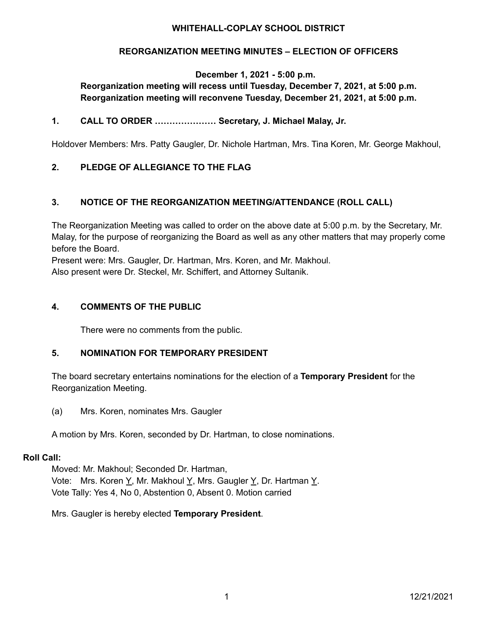## **WHITEHALL-COPLAY SCHOOL DISTRICT**

# **REORGANIZATION MEETING MINUTES – ELECTION OF OFFICERS**

**December 1, 2021 - 5:00 p.m.**

# **Reorganization meeting will recess until Tuesday, December 7, 2021, at 5:00 p.m. Reorganization meeting will reconvene Tuesday, December 21, 2021, at 5:00 p.m.**

# **1. CALL TO ORDER ………………… Secretary, J. Michael Malay, Jr.**

Holdover Members: Mrs. Patty Gaugler, Dr. Nichole Hartman, Mrs. Tina Koren, Mr. George Makhoul,

# **2. PLEDGE OF ALLEGIANCE TO THE FLAG**

# **3. NOTICE OF THE REORGANIZATION MEETING/ATTENDANCE (ROLL CALL)**

The Reorganization Meeting was called to order on the above date at 5:00 p.m. by the Secretary, Mr. Malay, for the purpose of reorganizing the Board as well as any other matters that may properly come before the Board.

Present were: Mrs. Gaugler, Dr. Hartman, Mrs. Koren, and Mr. Makhoul.

Also present were Dr. Steckel, Mr. Schiffert, and Attorney Sultanik.

### **4. COMMENTS OF THE PUBLIC**

There were no comments from the public.

### **5. NOMINATION FOR TEMPORARY PRESIDENT**

The board secretary entertains nominations for the election of a **Temporary President** for the Reorganization Meeting.

(a) Mrs. Koren, nominates Mrs. Gaugler

A motion by Mrs. Koren, seconded by Dr. Hartman, to close nominations.

#### **Roll Call:**

Moved: Mr. Makhoul; Seconded Dr. Hartman, Vote: Mrs. Koren Y, Mr. Makhoul Y, Mrs. Gaugler Y, Dr. Hartman Y. Vote Tally: Yes 4, No 0, Abstention 0, Absent 0. Motion carried

Mrs. Gaugler is hereby elected **Temporary President**.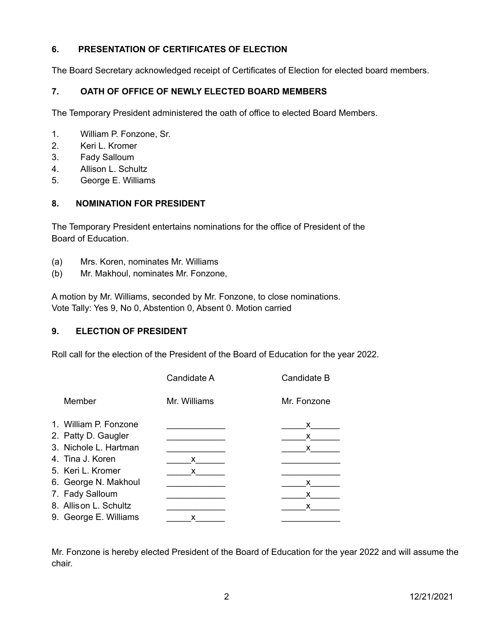# **6. PRESENTATION OF CERTIFICATES OF ELECTION**

The Board Secretary acknowledged receipt of Certificates of Election for elected board members.

# **7. OATH OF OFFICE OF NEWLY ELECTED BOARD MEMBERS**

The Temporary President administered the oath of office to elected Board Members.

- 1. William P. Fonzone, Sr.
- 2. Keri L. Kromer
- 3. Fady Salloum
- 4. Allison L. Schultz
- 5. George E. Williams

# **8. NOMINATION FOR PRESIDENT**

The Temporary President entertains nominations for the office of President of the Board of Education.

- (a) Mrs. Koren, nominates Mr. Williams
- (b) Mr. Makhoul, nominates Mr. Fonzone,

A motion by Mr. Williams, seconded by Mr. Fonzone, to close nominations. Vote Tally: Yes 9, No 0, Abstention 0, Absent 0. Motion carried

# **9. ELECTION OF PRESIDENT**

Roll call for the election of the President of the Board of Education for the year 2022.

|                       | Candidate A  | Candidate B |
|-----------------------|--------------|-------------|
| Member                | Mr. Williams | Mr. Fonzone |
| 1. William P. Fonzone |              | x.          |
| 2. Patty D. Gaugler   |              | x.          |
| 3. Nichole L. Hartman |              | x           |
| 4. Tina J. Koren      | x            |             |
| 5. Keri L. Kromer     | x.           |             |
| 6. George N. Makhoul  |              | x           |
| 7. Fady Salloum       |              | x           |
| 8. Allison L. Schultz |              | x           |
| 9. George E. Williams | x            |             |

Mr. Fonzone is hereby elected President of the Board of Education for the year 2022 and will assume the chair.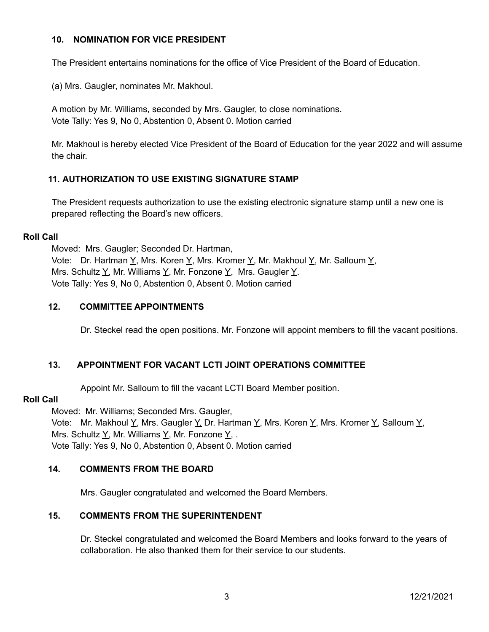#### **10. NOMINATION FOR VICE PRESIDENT**

The President entertains nominations for the office of Vice President of the Board of Education.

(a) Mrs. Gaugler, nominates Mr. Makhoul.

A motion by Mr. Williams, seconded by Mrs. Gaugler, to close nominations. Vote Tally: Yes 9, No 0, Abstention 0, Absent 0. Motion carried

Mr. Makhoul is hereby elected Vice President of the Board of Education for the year 2022 and will assume the chair.

# **11. AUTHORIZATION TO USE EXISTING SIGNATURE STAMP**

The President requests authorization to use the existing electronic signature stamp until a new one is prepared reflecting the Board's new officers.

#### **Roll Call**

Moved: Mrs. Gaugler; Seconded Dr. Hartman, Vote: Dr. Hartman Y, Mrs. Koren Y, Mrs. Kromer Y, Mr. Makhoul Y, Mr. Salloum Y, Mrs. Schultz  $\underline{Y}$ , Mr. Williams  $\underline{Y}$ , Mr. Fonzone  $\underline{Y}$ , Mrs. Gaugler  $\underline{Y}$ . Vote Tally: Yes 9, No 0, Abstention 0, Absent 0. Motion carried

### **12. COMMITTEE APPOINTMENTS**

Dr. Steckel read the open positions. Mr. Fonzone will appoint members to fill the vacant positions.

### **13. APPOINTMENT FOR VACANT LCTI JOINT OPERATIONS COMMITTEE**

Appoint Mr. Salloum to fill the vacant LCTI Board Member position.

#### **Roll Call**

Moved: Mr. Williams; Seconded Mrs. Gaugler,

Vote: Mr. Makhoul Y, Mrs. Gaugler Y, Dr. Hartman Y, Mrs. Koren Y, Mrs. Kromer Y, Salloum Y, Mrs. Schultz  $Y$ , Mr. Williams  $Y$ , Mr. Fonzone  $Y$ , . Vote Tally: Yes 9, No 0, Abstention 0, Absent 0. Motion carried

### **14. COMMENTS FROM THE BOARD**

Mrs. Gaugler congratulated and welcomed the Board Members.

# **15. COMMENTS FROM THE SUPERINTENDENT**

Dr. Steckel congratulated and welcomed the Board Members and looks forward to the years of collaboration. He also thanked them for their service to our students.